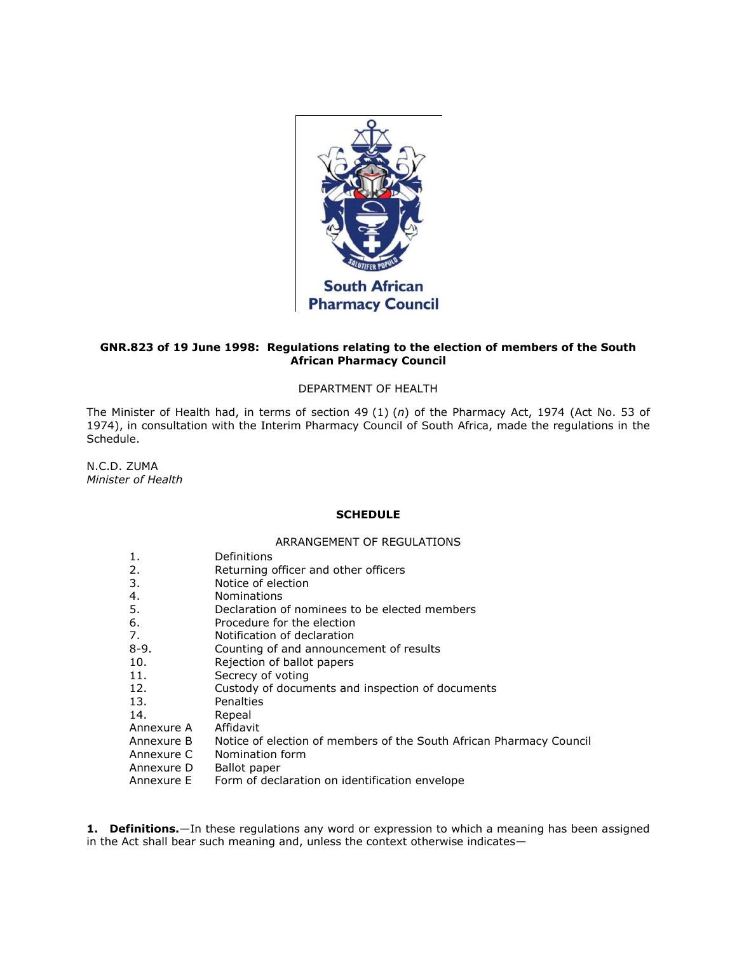

# **GNR.823 of 19 June 1998: Regulations relating to the election of members of the South African Pharmacy Council**

# DEPARTMENT OF HEALTH

The Minister of Health had, in terms of [section 49](http://www.mylexisnexis.co.za/nxt/gateway.dll/jilc/kilc/xjsg/zmsg/0msg/g44h#w) (1) (*n*) of the Pharmacy Act, 1974 (Act [No. 53 of](http://www.mylexisnexis.co.za/nxt/gateway.dll/jilc/kilc/xjsg/zmsg/0msg#0)  [1974\)](http://www.mylexisnexis.co.za/nxt/gateway.dll/jilc/kilc/xjsg/zmsg/0msg#0), in consultation with the Interim Pharmacy Council of South Africa, made the regulations in [the](http://www.mylexisnexis.co.za/nxt/gateway.dll/jilc/kilc/xjsg/zmsg/cnsg/t84h/bb5h?f=templates$fn=document-frame.htm$3.0$q=$x=$nc=9246#1)  [Schedule.](http://www.mylexisnexis.co.za/nxt/gateway.dll/jilc/kilc/xjsg/zmsg/cnsg/t84h/bb5h?f=templates$fn=document-frame.htm$3.0$q=$x=$nc=9246#1)

N.C.D. ZUMA *Minister of Health*

### **SCHEDULE**

## ARRANGEMENT OF REGULATIONS

| 1.         | Definitions                                                         |
|------------|---------------------------------------------------------------------|
| 2.         | Returning officer and other officers                                |
| 3.         | Notice of election                                                  |
| 4.         | <b>Nominations</b>                                                  |
| 5.         | Declaration of nominees to be elected members                       |
| 6.         | Procedure for the election                                          |
| 7.         | Notification of declaration                                         |
| $8-9.$     | Counting of and announcement of results                             |
| 10.        | Rejection of ballot papers                                          |
| 11.        | Secrecy of voting                                                   |
| 12.        | Custody of documents and inspection of documents                    |
| 13.        | Penalties                                                           |
| 14.        | Repeal                                                              |
| Annexure A | Affidavit                                                           |
| Annexure B | Notice of election of members of the South African Pharmacy Council |
| Annexure C | Nomination form                                                     |
| Annexure D | Ballot paper                                                        |
| Annexure E | Form of declaration on identification envelope                      |

**1. Definitions.**—In these regulations any word or expression to which a meaning has been assigned in the Act shall bear such meaning and, unless the context otherwise indicates—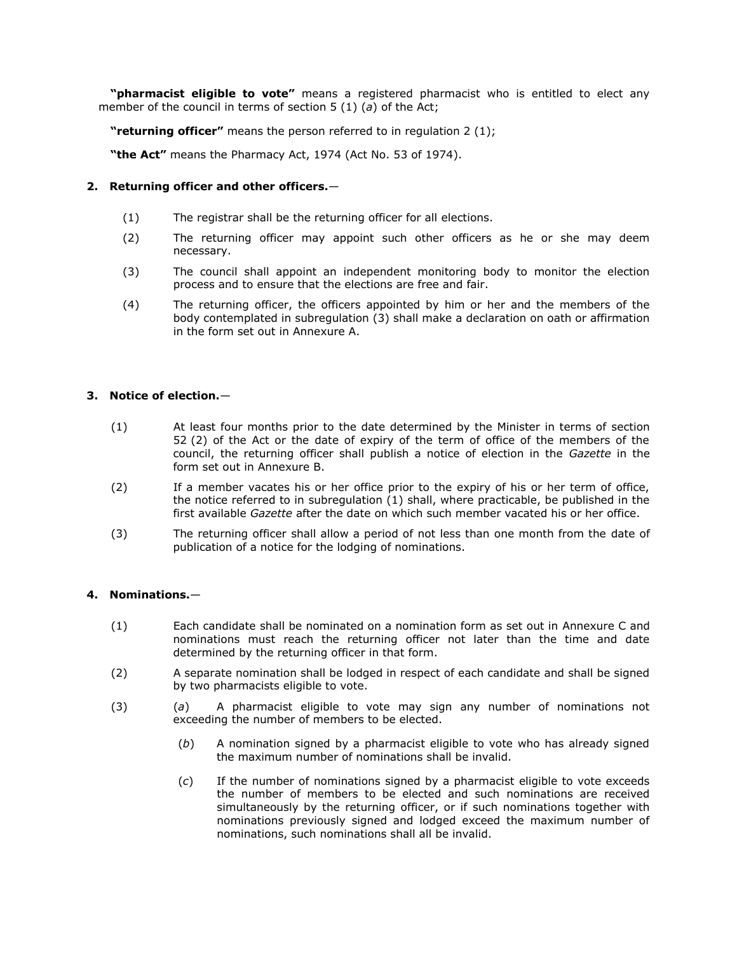**"pharmacist eligible to vote"** means a registered pharmacist who is entitled to elect any member of the council in terms of [section 5](http://www.mylexisnexis.co.za/nxt/gateway.dll/jilc/kilc/xjsg/zmsg/0msg/o14h#2) (1) (*a*) of the Act;

**"returning officer"** means the person referred to in [regulation 2](http://www.mylexisnexis.co.za/nxt/gateway.dll/jilc/kilc/xjsg/zmsg/cnsg/t84h/bb5h/db5h#1) (1);

**"the Act"** means the Pharmacy Act, 1974 (Act [No. 53 of 1974\)](http://www.mylexisnexis.co.za/nxt/gateway.dll/jilc/kilc/xjsg/zmsg/0msg#0).

## **2. Returning officer and other officers.**—

- (1) The registrar shall be the returning officer for all elections.
- (2) The returning officer may appoint such other officers as he or she may deem necessary.
- (3) The council shall appoint an independent monitoring body to monitor the election process and to ensure that the elections are free and fair.
- (4) The returning officer, the officers appointed by him or her and the members of the body contemplated in [subregulation \(3\)](http://www.mylexisnexis.co.za/nxt/gateway.dll/jilc/kilc/xjsg/zmsg/cnsg/t84h/bb5h/db5h?f=templates$fn=document-frame.htm$3.0$q=$x=$nc=1692#3) shall make a declaration on oath or affirmation in the form set out in [Annexure A.](http://www.mylexisnexis.co.za/nxt/gateway.dll/jilc/kilc/xjsg/zmsg/cnsg/t84h/bb5h/qb5h#0)

# **3. Notice of election.**—

- (1) At least four months prior to the date determined by the Minister in terms of [section](http://www.mylexisnexis.co.za/nxt/gateway.dll/jilc/kilc/xjsg/zmsg/0msg/o44h#2)  52 [\(2\)](http://www.mylexisnexis.co.za/nxt/gateway.dll/jilc/kilc/xjsg/zmsg/0msg/o44h#2) of the Act or the date of expiry of the term of office of the members of the council, the returning officer shall publish a notice of election in the *Gazette* in the form set out in [Annexure B.](http://www.mylexisnexis.co.za/nxt/gateway.dll/jilc/kilc/xjsg/zmsg/cnsg/t84h/bb5h/rb5h#0)
- (2) If a member vacates his or her office prior to the expiry of his or her term of office, the notice referred to in [subregulation \(1\)](http://www.mylexisnexis.co.za/nxt/gateway.dll/jilc/kilc/xjsg/zmsg/cnsg/t84h/bb5h/eb5h?f=templates$fn=document-frame.htm$3.0$q=$x=$nc=8226#1) shall, where practicable, be published in the first available *Gazette* after the date on which such member vacated his or her office.
- (3) The returning officer shall allow a period of not less than one month from the date of publication of a notice for the lodging of nominations.

# **4. Nominations.**—

- (1) Each candidate shall be nominated on a nomination form as set out in [Annexure C](http://www.mylexisnexis.co.za/nxt/gateway.dll/jilc/kilc/xjsg/zmsg/cnsg/t84h/bb5h/sb5h#0) and nominations must reach the returning officer not later than the time and date determined by the returning officer in that form.
- (2) A separate nomination shall be lodged in respect of each candidate and shall be signed by two pharmacists eligible to vote.
- (3) (*a*) A pharmacist eligible to vote may sign any number of nominations not exceeding the number of members to be elected.
	- (*b*) A nomination signed by a pharmacist eligible to vote who has already signed the maximum number of nominations shall be invalid.
	- (*c*) If the number of nominations signed by a pharmacist eligible to vote exceeds the number of members to be elected and such nominations are received simultaneously by the returning officer, or if such nominations together with nominations previously signed and lodged exceed the maximum number of nominations, such nominations shall all be invalid.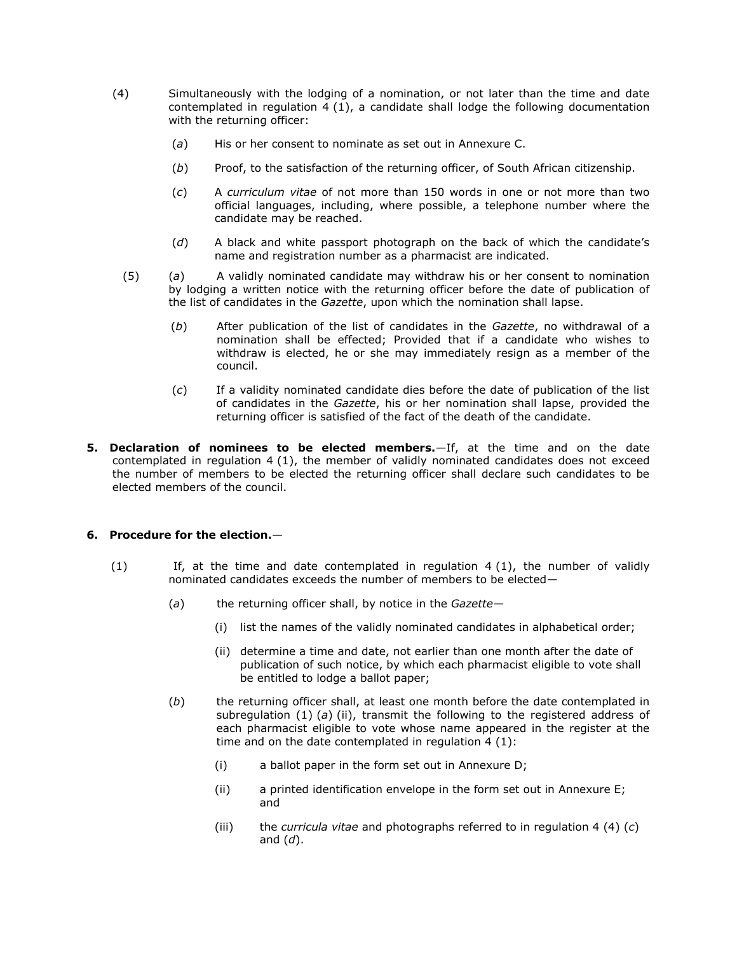- (4) Simultaneously with the lodging of a nomination, or not later than the time and date contemplated in [regulation 4](http://www.mylexisnexis.co.za/nxt/gateway.dll/jilc/kilc/xjsg/zmsg/cnsg/t84h/bb5h/fb5h?f=templates$fn=document-frame.htm$3.0$q=$x=$nc=4679#1) (1), a candidate shall lodge the following documentation with the returning officer:
	- (*a*) His or her consent to nominate as set out in [Annexure C.](http://www.mylexisnexis.co.za/nxt/gateway.dll/jilc/kilc/xjsg/zmsg/cnsg/t84h/bb5h/sb5h#0)
	- (*b*) Proof, to the satisfaction of the returning officer, of South African citizenship.
	- (*c*) A *curriculum vitae* of not more than 150 words in one or not more than two official languages, including, where possible, a telephone number where the candidate may be reached.
	- (*d*) A black and white passport photograph on the back of which the candidate's name and registration number as a pharmacist are indicated.
	- (5) (*a*) A validly nominated candidate may withdraw his or her consent to nomination by lodging a written notice with the returning officer before the date of publication of the list of candidates in the *Gazette*, upon which the nomination shall lapse.
		- (*b*) After publication of the list of candidates in the *Gazette*, no withdrawal of a nomination shall be effected; Provided that if a candidate who wishes to withdraw is elected, he or she may immediately resign as a member of the council.
		- (*c*) If a validity nominated candidate dies before the date of publication of the list of candidates in the *Gazette*, his or her nomination shall lapse, provided the returning officer is satisfied of the fact of the death of the candidate.
- **5. Declaration of nominees to be elected members.**—If, at the time and on the date contemplated in [regulation 4](http://www.mylexisnexis.co.za/nxt/gateway.dll/jilc/kilc/xjsg/zmsg/cnsg/t84h/bb5h/fb5h#1) (1), the member of validly nominated candidates does not exceed the number of members to be elected the returning officer shall declare such candidates to be elected members of the council.

# **6. Procedure for the election.**—

- $(1)$  If, at the time and date contemplated in [regulation 4](http://www.mylexisnexis.co.za/nxt/gateway.dll/jilc/kilc/xjsg/zmsg/cnsg/t84h/bb5h/fb5h#1) (1), the number of validly nominated candidates exceeds the number of members to be elected—
	- (*a*) the returning officer shall, by notice in the *Gazette*
		- (i) list the names of the validly nominated candidates in alphabetical order;
		- (ii) determine a time and date, not earlier than one month after the date of publication of such notice, by which each pharmacist eligible to vote shall be entitled to lodge a ballot paper;
	- (*b*) the returning officer shall, at least one month before the date contemplated in [subregulation \(1\)](http://www.mylexisnexis.co.za/nxt/gateway.dll/jilc/kilc/xjsg/zmsg/cnsg/t84h/bb5h/hb5h?f=templates$fn=document-frame.htm$3.0$q=$x=$nc=8475#4) (*a*) (ii), transmit the following to the registered address of each pharmacist eligible to vote whose name appeared in the register at the time and on the date contemplated in [regulation 4](http://www.mylexisnexis.co.za/nxt/gateway.dll/jilc/kilc/xjsg/zmsg/cnsg/t84h/bb5h/fb5h#1) (1):
		- (i) a ballot paper in the form set out in [Annexure D;](http://www.mylexisnexis.co.za/nxt/gateway.dll/jilc/kilc/xjsg/zmsg/cnsg/t84h/bb5h/tb5h#0)
		- (ii) a printed identification envelope in the form set out in [Annexure E;](http://www.mylexisnexis.co.za/nxt/gateway.dll/jilc/kilc/xjsg/zmsg/cnsg/t84h/bb5h/ub5h#0) and
		- (iii) the *curricula vitae* and photographs referred to in [regulation 4](http://www.mylexisnexis.co.za/nxt/gateway.dll/jilc/kilc/xjsg/zmsg/cnsg/t84h/bb5h/fb5h#a) (4) (*c*) and [\(](http://www.mylexisnexis.co.za/nxt/gateway.dll/jilc/kilc/xjsg/zmsg/cnsg/t84h/bb5h/fb5h#b)*d*).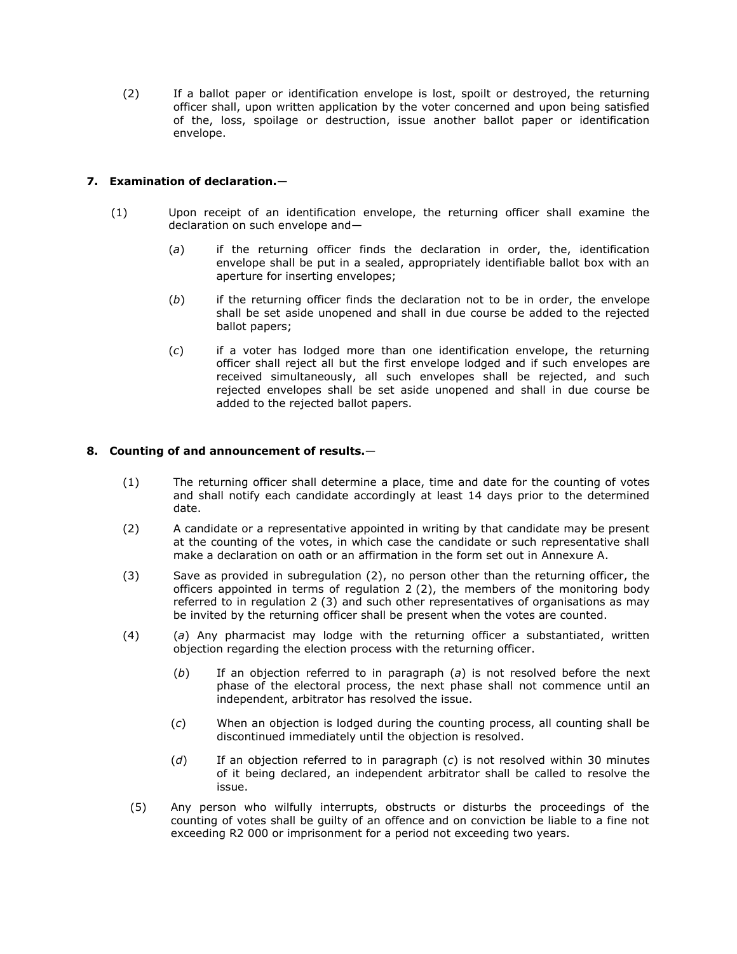(2) If a ballot paper or identification envelope is lost, spoilt or destroyed, the returning officer shall, upon written application by the voter concerned and upon being satisfied of the, loss, spoilage or destruction, issue another ballot paper or identification envelope.

# **7. Examination of declaration.**—

- (1) Upon receipt of an identification envelope, the returning officer shall examine the declaration on such envelope and—
	- (*a*) if the returning officer finds the declaration in order, the, identification envelope shall be put in a sealed, appropriately identifiable ballot box with an aperture for inserting envelopes;
	- (*b*) if the returning officer finds the declaration not to be in order, the envelope shall be set aside unopened and shall in due course be added to the rejected ballot papers;
	- (*c*) if a voter has lodged more than one identification envelope, the returning officer shall reject all but the first envelope lodged and if such envelopes are received simultaneously, all such envelopes shall be rejected, and such rejected envelopes shall be set aside unopened and shall in due course be added to the rejected ballot papers.

# **8. Counting of and announcement of results.**—

- (1) The returning officer shall determine a place, time and date for the counting of votes and shall notify each candidate accordingly at least 14 days prior to the determined date.
- (2) A candidate or a representative appointed in writing by that candidate may be present at the counting of the votes, in which case the candidate or such representative shall make a declaration on oath or an affirmation in the form set out in [Annexure A.](http://www.mylexisnexis.co.za/nxt/gateway.dll/jilc/kilc/xjsg/zmsg/cnsg/t84h/bb5h/qb5h#0)
- (3) Save as provided in [subregulation \(2\),](http://www.mylexisnexis.co.za/nxt/gateway.dll/jilc/kilc/xjsg/zmsg/cnsg/t84h/bb5h/jb5h?f=templates$fn=document-frame.htm$3.0$q=$x=$nc=1047#2) no person other than the returning officer, the officers appointed in terms of [regulation 2](http://www.mylexisnexis.co.za/nxt/gateway.dll/jilc/kilc/xjsg/zmsg/cnsg/t84h/bb5h/db5h#2) (2), the members of the monitoring body referred to in [regulation 2](http://www.mylexisnexis.co.za/nxt/gateway.dll/jilc/kilc/xjsg/zmsg/cnsg/t84h/bb5h/db5h#3) (3) and such other representatives of organisations as may be invited by the returning officer shall be present when the votes are counted.
- (4) (*a*) Any pharmacist may lodge with the returning officer a substantiated, written objection regarding the election process with the returning officer.
	- (*b*) If an objection referred to in [paragraph \(](http://www.mylexisnexis.co.za/nxt/gateway.dll/jilc/kilc/xjsg/zmsg/cnsg/t84h/bb5h/jb5h?f=templates$fn=document-frame.htm$3.0$q=$x=$nc=1047#4)*a*) is not resolved before the next phase of the electoral process, the next phase shall not commence until an independent, arbitrator has resolved the issue.
	- (*c*) When an objection is lodged during the counting process, all counting shall be discontinued immediately until the objection is resolved.
	- (*d*) If an objection referred to in [paragraph \(](http://www.mylexisnexis.co.za/nxt/gateway.dll/jilc/kilc/xjsg/zmsg/cnsg/t84h/bb5h/jb5h?f=templates$fn=document-frame.htm$3.0$q=$x=$nc=1047#7)*c*) is not resolved within 30 minutes of it being declared, an independent arbitrator shall be called to resolve the issue.
- (5) Any person who wilfully interrupts, obstructs or disturbs the proceedings of the counting of votes shall be guilty of an offence and on conviction be liable to a fine not exceeding R2 000 or imprisonment for a period not exceeding two years.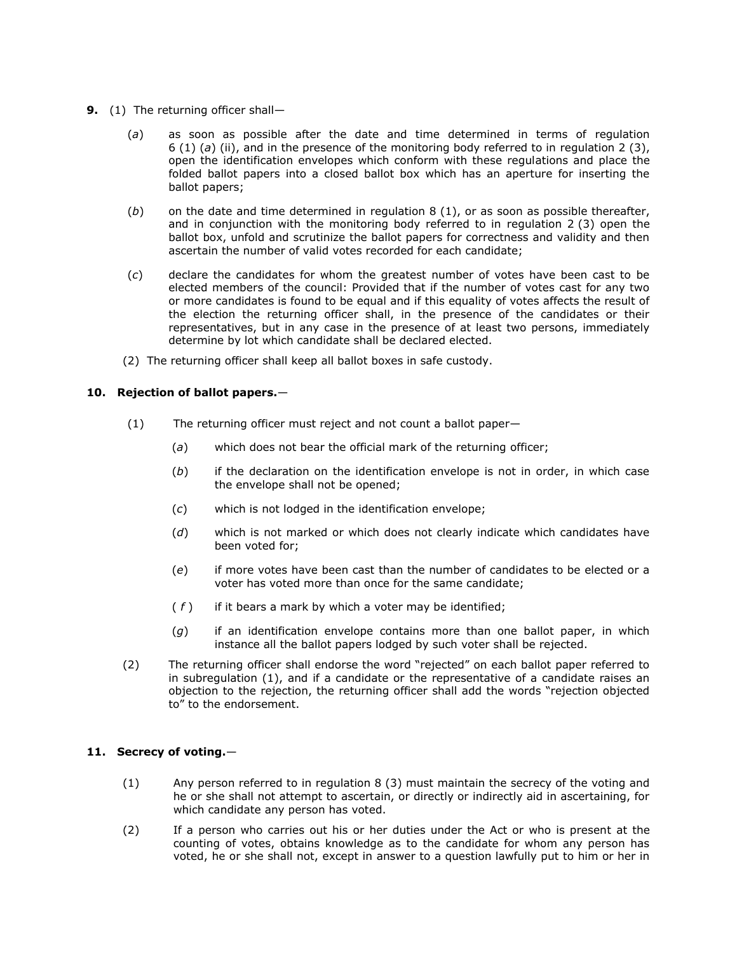- **9.** (1) The returning officer shall—
	- (*a*) as soon as possible after the date and time determined in terms of [regulation](http://www.mylexisnexis.co.za/nxt/gateway.dll/jilc/kilc/xjsg/zmsg/cnsg/t84h/bb5h/hb5h#4)  6 (1) (*a*) [\(ii\),](http://www.mylexisnexis.co.za/nxt/gateway.dll/jilc/kilc/xjsg/zmsg/cnsg/t84h/bb5h/hb5h#4) and in the presence of the monitoring body referred to in [regulation 2](http://www.mylexisnexis.co.za/nxt/gateway.dll/jilc/kilc/xjsg/zmsg/cnsg/t84h/bb5h/db5h#3) (3), open the identification envelopes which conform with these regulations and place the folded ballot papers into a closed ballot box which has an aperture for inserting the ballot papers;
	- (*b*) on the date and time determined in [regulation 8](http://www.mylexisnexis.co.za/nxt/gateway.dll/jilc/kilc/xjsg/zmsg/cnsg/t84h/bb5h/jb5h#1) (1), or as soon as possible thereafter, and in conjunction with the monitoring body referred to in [regulation 2](http://www.mylexisnexis.co.za/nxt/gateway.dll/jilc/kilc/xjsg/zmsg/cnsg/t84h/bb5h/db5h#3) (3) open the ballot box, unfold and scrutinize the ballot papers for correctness and validity and then ascertain the number of valid votes recorded for each candidate;
	- (*c*) declare the candidates for whom the greatest number of votes have been cast to be elected members of the council: Provided that if the number of votes cast for any two or more candidates is found to be equal and if this equality of votes affects the result of the election the returning officer shall, in the presence of the candidates or their representatives, but in any case in the presence of at least two persons, immediately determine by lot which candidate shall be declared elected.
	- (2) The returning officer shall keep all ballot boxes in safe custody.

# **10. Rejection of ballot papers.**—

- (1) The returning officer must reject and not count a ballot paper—
	- (*a*) which does not bear the official mark of the returning officer;
	- (*b*) if the declaration on the identification envelope is not in order, in which case the envelope shall not be opened;
	- (*c*) which is not lodged in the identification envelope;
	- (*d*) which is not marked or which does not clearly indicate which candidates have been voted for;
	- (*e*) if more votes have been cast than the number of candidates to be elected or a voter has voted more than once for the same candidate;
	- ( *f* ) if it bears a mark by which a voter may be identified;
	- (*g*) if an identification envelope contains more than one ballot paper, in which instance all the ballot papers lodged by such voter shall be rejected.
- (2) The returning officer shall endorse the word "rejected" on each ballot paper referred to in [subregulation \(1\),](http://www.mylexisnexis.co.za/nxt/gateway.dll/jilc/kilc/xjsg/zmsg/cnsg/t84h/bb5h/lb5h?f=templates$fn=document-frame.htm$3.0$q=$x=$nc=6767#1) and if a candidate or the representative of a candidate raises an objection to the rejection, the returning officer shall add the words "rejection objected to" to the endorsement.

# **11. Secrecy of voting.**—

- (1) Any person referred to in [regulation 8](http://www.mylexisnexis.co.za/nxt/gateway.dll/jilc/kilc/xjsg/zmsg/cnsg/t84h/bb5h/jb5h#3) (3) must maintain the secrecy of the voting and he or she shall not attempt to ascertain, or directly or indirectly aid in ascertaining, for which candidate any person has voted.
- (2) If a person who carries out his or her duties under the Act or who is present at the counting of votes, obtains knowledge as to the candidate for whom any person has voted, he or she shall not, except in answer to a question lawfully put to him or her in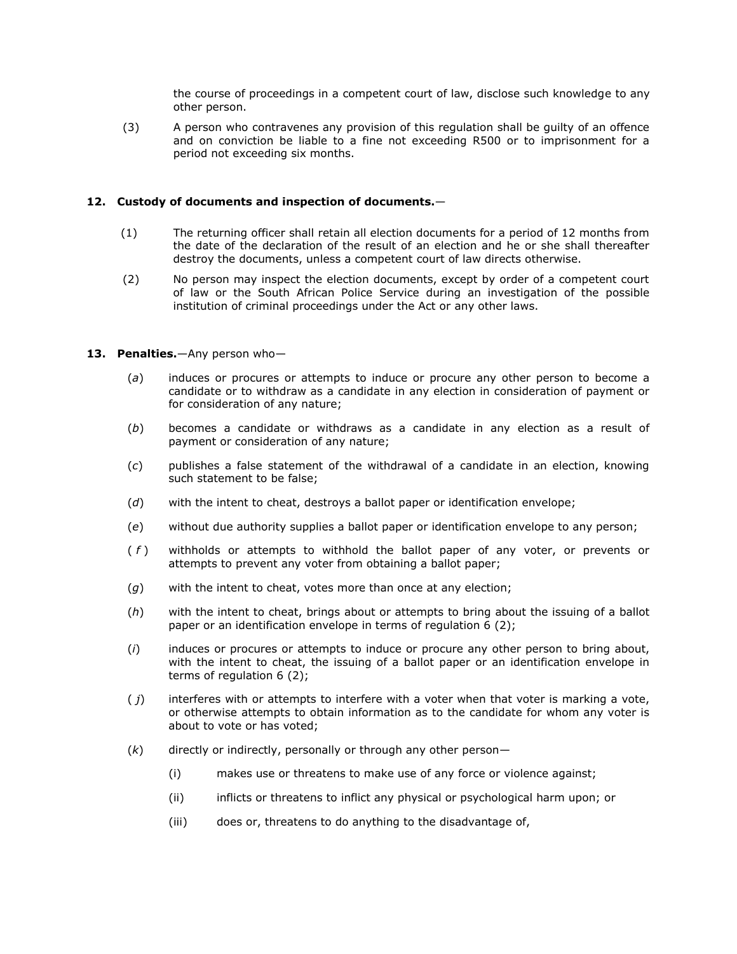the course of proceedings in a competent court of law, disclose such knowledge to any other person.

(3) A person who contravenes any provision of this regulation shall be guilty of an offence and on conviction be liable to a fine not exceeding R500 or to imprisonment for a period not exceeding six months.

## **12. Custody of documents and inspection of documents.**—

- (1) The returning officer shall retain all election documents for a period of 12 months from the date of the declaration of the result of an election and he or she shall thereafter destroy the documents, unless a competent court of law directs otherwise.
- (2) No person may inspect the election documents, except by order of a competent court of law or the South African Police Service during an investigation of the possible institution of criminal proceedings under the Act or any other laws.

## **13. Penalties.**—Any person who—

- (*a*) induces or procures or attempts to induce or procure any other person to become a candidate or to withdraw as a candidate in any election in consideration of payment or for consideration of any nature;
- (*b*) becomes a candidate or withdraws as a candidate in any election as a result of payment or consideration of any nature;
- (*c*) publishes a false statement of the withdrawal of a candidate in an election, knowing such statement to be false;
- (*d*) with the intent to cheat, destroys a ballot paper or identification envelope;
- (*e*) without due authority supplies a ballot paper or identification envelope to any person;
- ( *f* ) withholds or attempts to withhold the ballot paper of any voter, or prevents or attempts to prevent any voter from obtaining a ballot paper;
- (*g*) with the intent to cheat, votes more than once at any election;
- (*h*) with the intent to cheat, brings about or attempts to bring about the issuing of a ballot paper or an identification envelope in terms of [regulation 6](http://www.mylexisnexis.co.za/nxt/gateway.dll/jilc/kilc/xjsg/zmsg/cnsg/t84h/bb5h/hb5h#9) (2);
- (*i*) induces or procures or attempts to induce or procure any other person to bring about, with the intent to cheat, the issuing of a ballot paper or an identification envelope in terms of [regulation 6](http://www.mylexisnexis.co.za/nxt/gateway.dll/jilc/kilc/xjsg/zmsg/cnsg/t84h/bb5h/hb5h#9) (2);
- ( *j*) interferes with or attempts to interfere with a voter when that voter is marking a vote, or otherwise attempts to obtain information as to the candidate for whom any voter is about to vote or has voted;
- (*k*) directly or indirectly, personally or through any other person—
	- (i) makes use or threatens to make use of any force or violence against;
	- (ii) inflicts or threatens to inflict any physical or psychological harm upon; or
	- (iii) does or, threatens to do anything to the disadvantage of,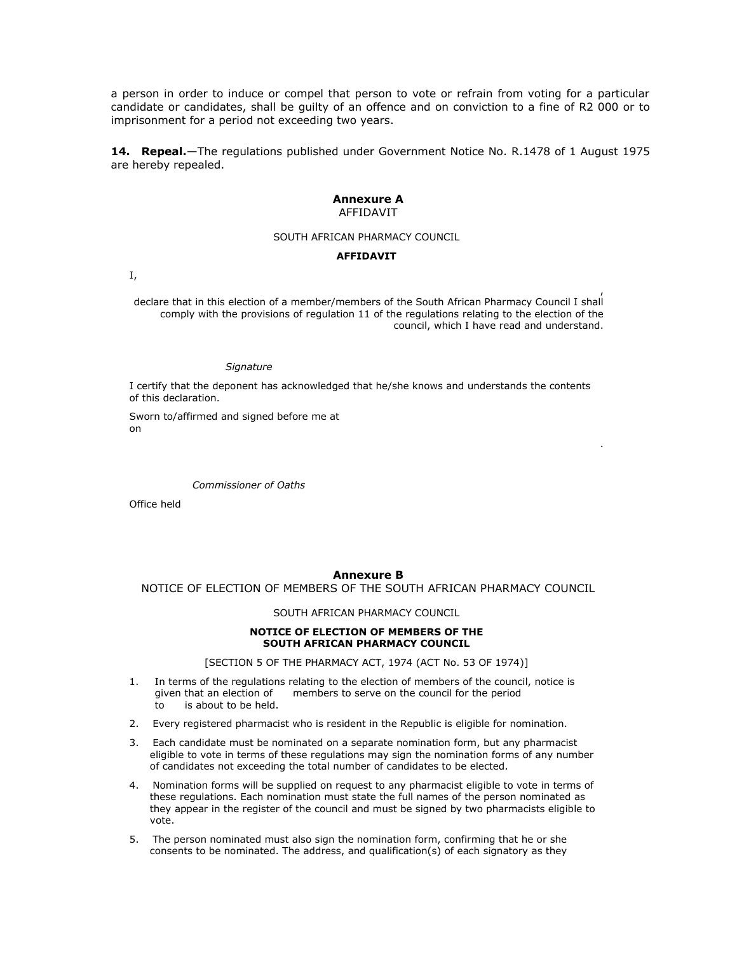a person in order to induce or compel that person to vote or refrain from voting for a particular candidate or candidates, shall be guilty of an offence and on conviction to a fine of R2 000 or to imprisonment for a period not exceeding two years.

**14. Repeal.**—The regulations published under Government Notice No. R.1478 of 1 August 1975 are hereby repealed.

#### **Annexure A** AFFIDAVIT

#### SOUTH AFRICAN PHARMACY COUNCIL

#### **AFFIDAVIT**

I,

, declare that in this election of a member/members of the South African Pharmacy Council I shall comply with the provisions of [regulation 11](http://www.mylexisnexis.co.za/nxt/gateway.dll/jilc/kilc/xjsg/zmsg/cnsg/t84h/bb5h/mb5h#0) of the regulations relating to the election of the council, which I have read and understand.

#### *Signature*

I certify that the deponent has acknowledged that he/she knows and understands the contents of this declaration.

.

Sworn to/affirmed and signed before me at on

*Commissioner of Oaths*

Office held

### **Annexure B**

NOTICE OF ELECTION OF MEMBERS OF THE SOUTH AFRICAN PHARMACY COUNCIL

#### SOUTH AFRICAN PHARMACY COUNCIL

### **NOTICE OF ELECTION OF MEMBERS OF THE SOUTH AFRICAN PHARMACY COUNCIL**

[\[SECTION 5](http://www.mylexisnexis.co.za/nxt/gateway.dll/jilc/kilc/xjsg/zmsg/0msg/o14h#0) OF THE PHARMACY ACT, 1974 (ACT [No. 53 OF 1974\)](http://www.mylexisnexis.co.za/nxt/gateway.dll/jilc/kilc/xjsg/zmsg/0msg#0)]

- 1. In terms of the regulations relating to the election of members of the council, notice is given that an election of members to serve on the council for the period to is about to be held.
- 2. Every registered pharmacist who is resident in the Republic is eligible for nomination.
- 3. Each candidate must be nominated on a separate nomination form, but any pharmacist eligible to vote in terms of these regulations may sign the nomination forms of any number of candidates not exceeding the total number of candidates to be elected.
- 4. Nomination forms will be supplied on request to any pharmacist eligible to vote in terms of these regulations. Each nomination must state the full names of the person nominated as they appear in the register of the council and must be signed by two pharmacists eligible to vote.
- 5. The person nominated must also sign the nomination form, confirming that he or she consents to be nominated. The address, and qualification(s) of each signatory as they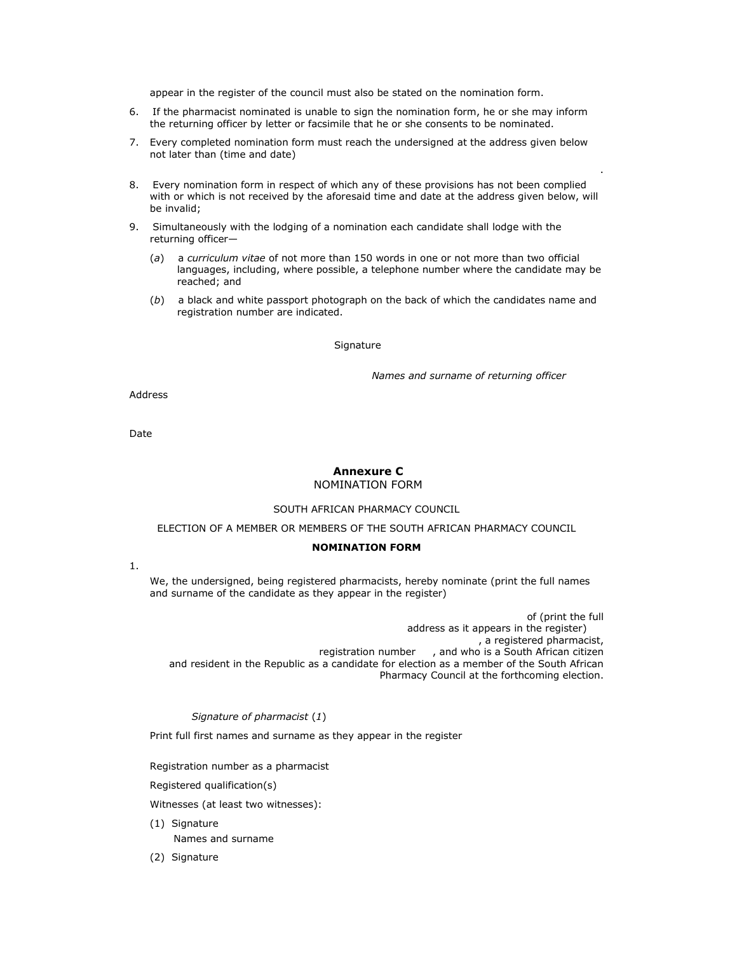appear in the register of the council must also be stated on the nomination form.

- 6. If the pharmacist nominated is unable to sign the nomination form, he or she may inform the returning officer by letter or facsimile that he or she consents to be nominated.
- 7. Every completed nomination form must reach the undersigned at the address given below not later than (time and date)
- 8. Every nomination form in respect of which any of these provisions has not been complied with or which is not received by the aforesaid time and date at the address given below, will be invalid;
- 9. Simultaneously with the lodging of a nomination each candidate shall lodge with the returning officer—
	- (*a*) a *curriculum vitae* of not more than 150 words in one or not more than two official languages, including, where possible, a telephone number where the candidate may be reached; and
	- (*b*) a black and white passport photograph on the back of which the candidates name and registration number are indicated.

#### Signature

*Names and surname of returning officer*

.

Address

Date

### **Annexure C** NOMINATION FORM

### SOUTH AFRICAN PHARMACY COUNCIL

### ELECTION OF A MEMBER OR MEMBERS OF THE SOUTH AFRICAN PHARMACY COUNCIL

### **NOMINATION FORM**

1.

We, the undersigned, being registered pharmacists, hereby nominate (print the full names and surname of the candidate as they appear in the register)

 of (print the full address as it appears in the register) , a registered pharmacist, registration number , and who is a South African citizen and resident in the Republic as a candidate for election as a member of the South African Pharmacy Council at the forthcoming election.

*Signature of pharmacist* (*1*)

Print full first names and surname as they appear in the register

Registration number as a pharmacist

Registered qualification(s)

Witnesses (at least two witnesses):

- (1) Signature Names and surname
- (2) Signature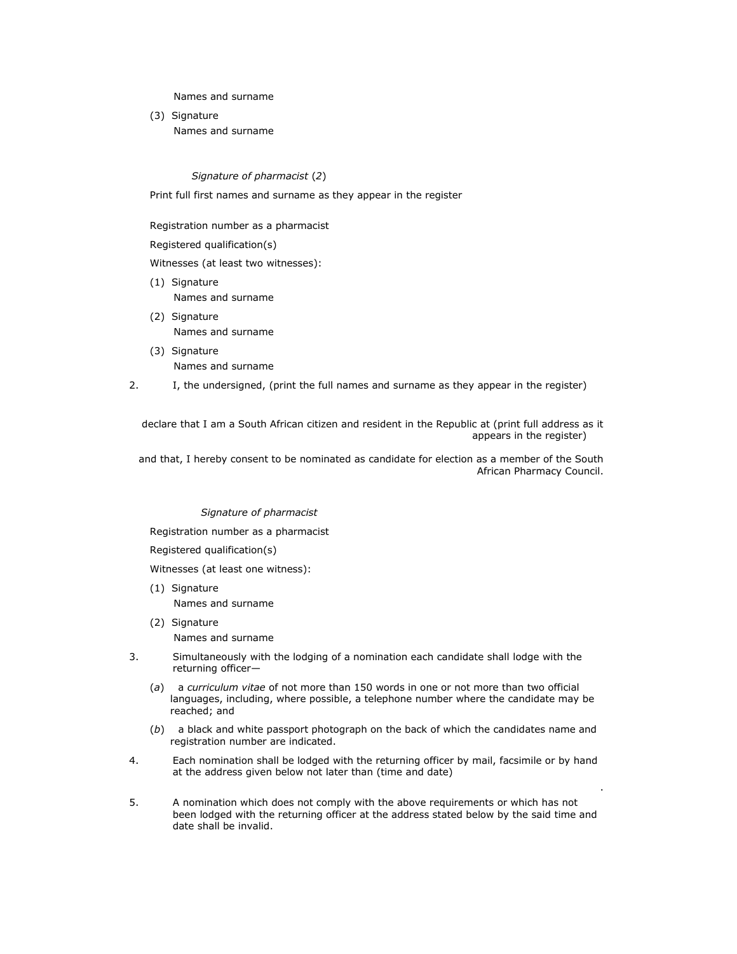Names and surname

(3) Signature Names and surname

*Signature of pharmacist* (*2*)

Print full first names and surname as they appear in the register

Registration number as a pharmacist

Registered qualification(s)

Witnesses (at least two witnesses):

- (1) Signature Names and surname
- (2) Signature Names and surname
- (3) Signature Names and surname
- 2. I, the undersigned, (print the full names and surname as they appear in the register)

declare that I am a South African citizen and resident in the Republic at (print full address as it appears in the register)

and that, I hereby consent to be nominated as candidate for election as a member of the South African Pharmacy Council.

### *Signature of pharmacist*

Registration number as a pharmacist

Registered qualification(s)

Witnesses (at least one witness):

- (1) Signature Names and surname
- (2) Signature Names and surname
- 3. Simultaneously with the lodging of a nomination each candidate shall lodge with the returning officer—
	- (*a*) a *curriculum vitae* of not more than 150 words in one or not more than two official languages, including, where possible, a telephone number where the candidate may be reached; and
	- (*b*) a black and white passport photograph on the back of which the candidates name and registration number are indicated.

.

- 4. Each nomination shall be lodged with the returning officer by mail, facsimile or by hand at the address given below not later than (time and date)
- 5. A nomination which does not comply with the above requirements or which has not been lodged with the returning officer at the address stated below by the said time and date shall be invalid.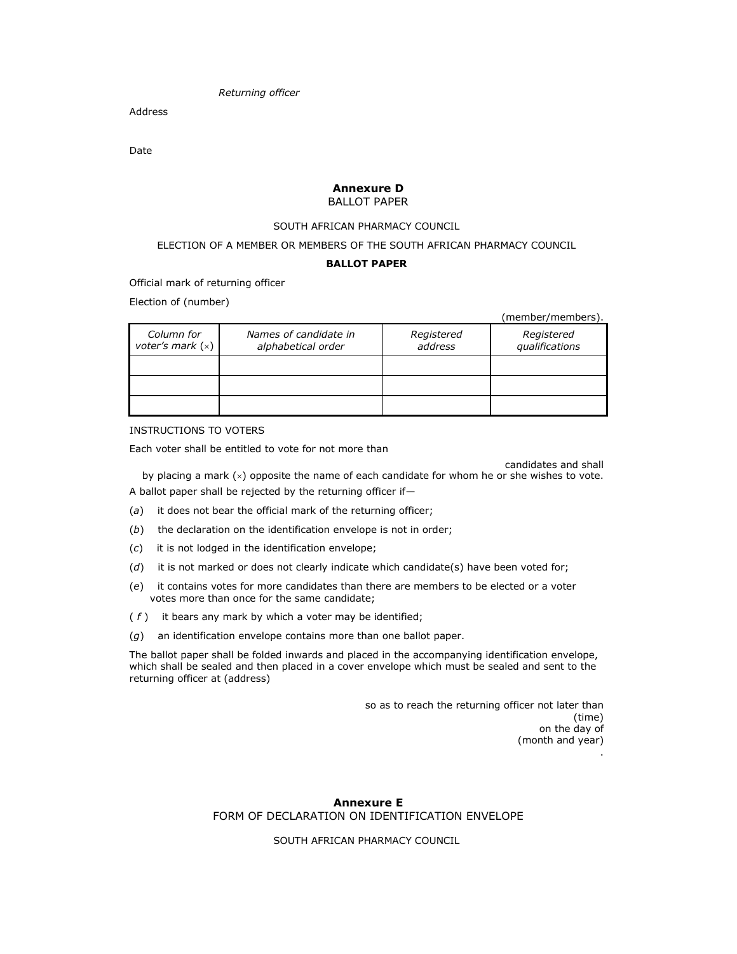*Returning officer*

Address

Date

### **Annexure D** BALLOT PAPER

#### SOUTH AFRICAN PHARMACY COUNCIL

ELECTION OF A MEMBER OR MEMBERS OF THE SOUTH AFRICAN PHARMACY COUNCIL

### **BALLOT PAPER**

Official mark of returning officer

Election of (number)

(member/members).

| Column for<br>voter's mark $(x)$ | Names of candidate in<br>alphabetical order | Registered<br>address | Registered<br>qualifications |
|----------------------------------|---------------------------------------------|-----------------------|------------------------------|
|                                  |                                             |                       |                              |
|                                  |                                             |                       |                              |
|                                  |                                             |                       |                              |

### INSTRUCTIONS TO VOTERS

Each voter shall be entitled to vote for not more than

candidates and shall by placing a mark  $(x)$  opposite the name of each candidate for whom he or she wishes to vote. A ballot paper shall be rejected by the returning officer if—

- (*a*) it does not bear the official mark of the returning officer;
- (*b*) the declaration on the identification envelope is not in order;
- (*c*) it is not lodged in the identification envelope;
- (*d*) it is not marked or does not clearly indicate which candidate(s) have been voted for;
- (*e*) it contains votes for more candidates than there are members to be elected or a voter votes more than once for the same candidate;
- ( *f* ) it bears any mark by which a voter may be identified;
- (*g*) an identification envelope contains more than one ballot paper.

The ballot paper shall be folded inwards and placed in the accompanying identification envelope, which shall be sealed and then placed in a cover envelope which must be sealed and sent to the returning officer at (address)

> so as to reach the returning officer not later than (time) on the day of (month and year) .

### **Annexure E** FORM OF DECLARATION ON IDENTIFICATION ENVELOPE

SOUTH AFRICAN PHARMACY COUNCIL